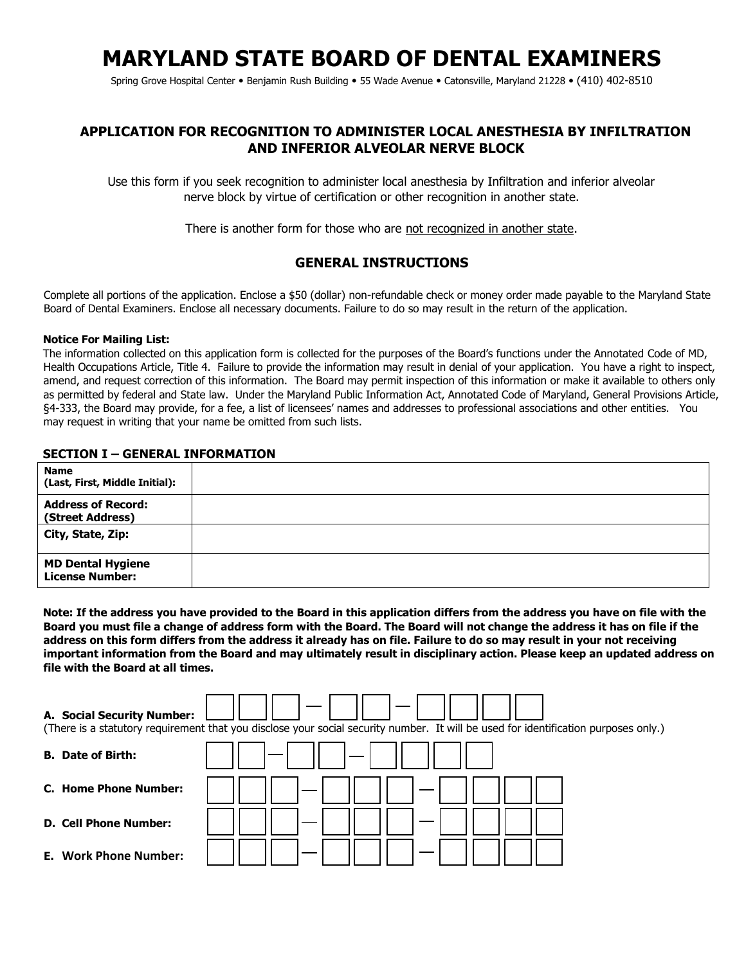# **MARYLAND STATE BOARD OF DENTAL EXAMINERS**

Spring Grove Hospital Center • Benjamin Rush Building • 55 Wade Avenue • Catonsville, Maryland 21228 • (410) 402-8510

## **APPLICATION FOR RECOGNITION TO ADMINISTER LOCAL ANESTHESIA BY INFILTRATION AND INFERIOR ALVEOLAR NERVE BLOCK**

Use this form if you seek recognition to administer local anesthesia by Infiltration and inferior alveolar nerve block by virtue of certification or other recognition in another state.

There is another form for those who are not recognized in another state.

## **GENERAL INSTRUCTIONS**

Complete all portions of the application. Enclose a \$50 (dollar) non-refundable check or money order made payable to the Maryland State Board of Dental Examiners. Enclose all necessary documents. Failure to do so may result in the return of the application.

#### **Notice For Mailing List:**

The information collected on this application form is collected for the purposes of the Board's functions under the Annotated Code of MD, Health Occupations Article, Title 4. Failure to provide the information may result in denial of your application. You have a right to inspect, amend, and request correction of this information. The Board may permit inspection of this information or make it available to others only as permitted by federal and State law. Under the Maryland Public Information Act, Annotated Code of Maryland, General Provisions Article, §4-333, the Board may provide, for a fee, a list of licensees' names and addresses to professional associations and other entities. You may request in writing that your name be omitted from such lists.

#### **SECTION I – GENERAL INFORMATION**

| <b>Name</b><br>(Last, First, Middle Initial):      |  |
|----------------------------------------------------|--|
| <b>Address of Record:</b><br>(Street Address)      |  |
| City, State, Zip:                                  |  |
| <b>MD Dental Hygiene</b><br><b>License Number:</b> |  |

**Note: If the address you have provided to the Board in this application differs from the address you have on file with the Board you must file a change of address form with the Board. The Board will not change the address it has on file if the address on this form differs from the address it already has on file. Failure to do so may result in your not receiving important information from the Board and may ultimately result in disciplinary action. Please keep an updated address on file with the Board at all times.** 

| A. Social Security Number:   | (There is a statutory requirement that you disclose your social security number. It will be used for identification purposes only.) |
|------------------------------|-------------------------------------------------------------------------------------------------------------------------------------|
| <b>B.</b> Date of Birth:     |                                                                                                                                     |
| C. Home Phone Number:        |                                                                                                                                     |
| <b>D. Cell Phone Number:</b> |                                                                                                                                     |
| <b>E.</b> Work Phone Number: |                                                                                                                                     |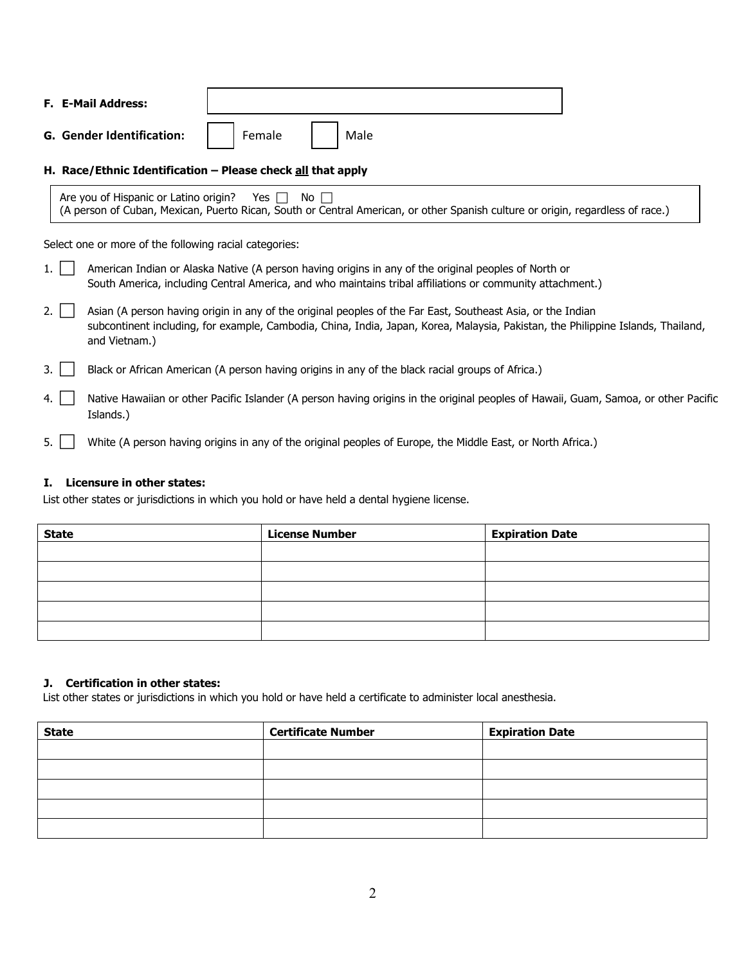| <b>F. E-Mail Address:</b>        |        |      |  |
|----------------------------------|--------|------|--|
| <b>G. Gender Identification:</b> | Female | Male |  |

#### **H. Race/Ethnic Identification – Please check all that apply**

| Are you of Hispanic or Latino origin? Yes $\Box$ No $\Box$                                                                     |  |  |  |  |  |  |  |
|--------------------------------------------------------------------------------------------------------------------------------|--|--|--|--|--|--|--|
| (A person of Cuban, Mexican, Puerto Rican, South or Central American, or other Spanish culture or origin, regardless of race.) |  |  |  |  |  |  |  |

Select one or more of the following racial categories:

| 1.1 | American Indian or Alaska Native (A person having origins in any of the original peoples of North or<br>South America, including Central America, and who maintains tribal affiliations or community attachment.)                                                |
|-----|------------------------------------------------------------------------------------------------------------------------------------------------------------------------------------------------------------------------------------------------------------------|
| 2.1 | Asian (A person having origin in any of the original peoples of the Far East, Southeast Asia, or the Indian<br>subcontinent including, for example, Cambodia, China, India, Japan, Korea, Malaysia, Pakistan, the Philippine Islands, Thailand,<br>and Vietnam.) |
| 3.  | Black or African American (A person having origins in any of the black racial groups of Africa.)                                                                                                                                                                 |
| 4.  | Native Hawaiian or other Pacific Islander (A person having origins in the original peoples of Hawaii, Guam, Samoa, or other Pacific<br>Islands.)                                                                                                                 |
| 5.  | White (A person having origins in any of the original peoples of Europe, the Middle East, or North Africa.)                                                                                                                                                      |

### **I. Licensure in other states:**

List other states or jurisdictions in which you hold or have held a dental hygiene license.

| <b>State</b> | <b>License Number</b> | <b>Expiration Date</b> |
|--------------|-----------------------|------------------------|
|              |                       |                        |
|              |                       |                        |
|              |                       |                        |
|              |                       |                        |
|              |                       |                        |

#### **J. Certification in other states:**

List other states or jurisdictions in which you hold or have held a certificate to administer local anesthesia.

| <b>State</b> | <b>Certificate Number</b> | <b>Expiration Date</b> |
|--------------|---------------------------|------------------------|
|              |                           |                        |
|              |                           |                        |
|              |                           |                        |
|              |                           |                        |
|              |                           |                        |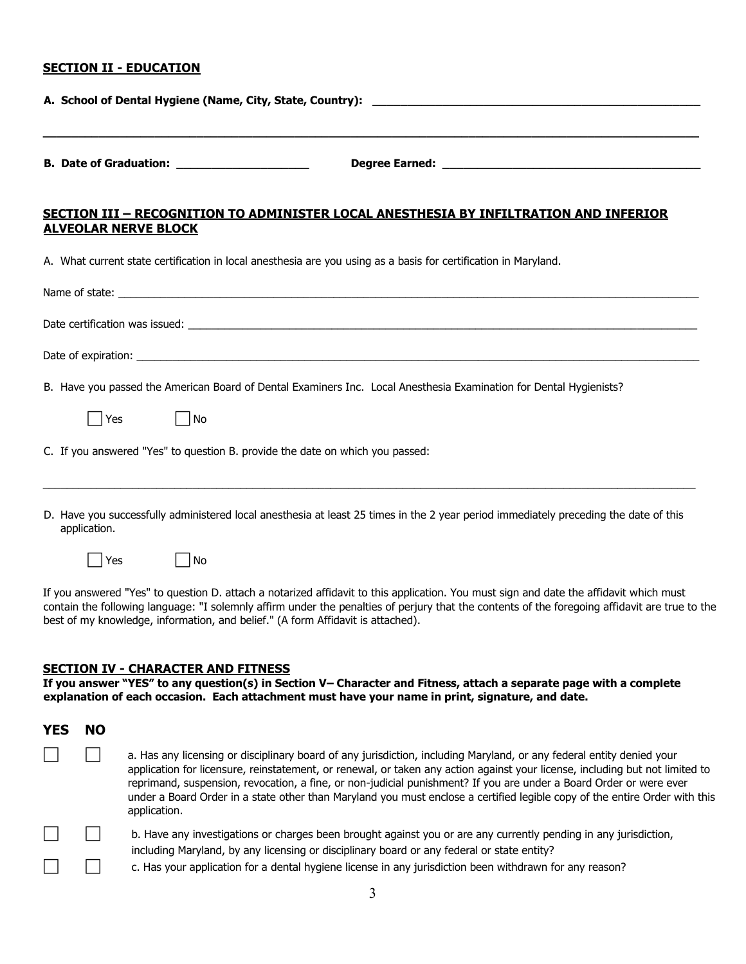#### **SECTION II - EDUCATION**

| SECTION III - RECOGNITION TO ADMINISTER LOCAL ANESTHESIA BY INFILTRATION AND INFERIOR                                                                |
|------------------------------------------------------------------------------------------------------------------------------------------------------|
| <b>ALVEOLAR NERVE BLOCK</b>                                                                                                                          |
| A. What current state certification in local anesthesia are you using as a basis for certification in Maryland.                                      |
|                                                                                                                                                      |
|                                                                                                                                                      |
|                                                                                                                                                      |
| B. Have you passed the American Board of Dental Examiners Inc. Local Anesthesia Examination for Dental Hygienists?                                   |
| Yes<br>  No                                                                                                                                          |
| C. If you answered "Yes" to question B. provide the date on which you passed:                                                                        |
| D. Have you successfully administered local anesthesia at least 25 times in the 2 year period immediately preceding the date of this<br>application. |
| Yes<br>l No                                                                                                                                          |

If you answered "Yes" to question D. attach a notarized affidavit to this application. You must sign and date the affidavit which must contain the following language: "I solemnly affirm under the penalties of perjury that the contents of the foregoing affidavit are true to the best of my knowledge, information, and belief." (A form Affidavit is attached).

#### **SECTION IV - CHARACTER AND FITNESS**

**If you answer "YES" to any question(s) in Section V– Character and Fitness, attach a separate page with a complete explanation of each occasion. Each attachment must have your name in print, signature, and date.** 

| YES | NO |                                                                                                                                                                                                                                                                                                                                                                                                                                                                                                                           |
|-----|----|---------------------------------------------------------------------------------------------------------------------------------------------------------------------------------------------------------------------------------------------------------------------------------------------------------------------------------------------------------------------------------------------------------------------------------------------------------------------------------------------------------------------------|
|     |    | a. Has any licensing or disciplinary board of any jurisdiction, including Maryland, or any federal entity denied your<br>application for licensure, reinstatement, or renewal, or taken any action against your license, including but not limited to<br>reprimand, suspension, revocation, a fine, or non-judicial punishment? If you are under a Board Order or were ever<br>under a Board Order in a state other than Maryland you must enclose a certified legible copy of the entire Order with this<br>application. |
|     |    | b. Have any investigations or charges been brought against you or are any currently pending in any jurisdiction,<br>including Maryland, by any licensing or disciplinary board or any federal or state entity?                                                                                                                                                                                                                                                                                                            |
|     |    | c. Has your application for a dental hygiene license in any jurisdiction been withdrawn for any reason?                                                                                                                                                                                                                                                                                                                                                                                                                   |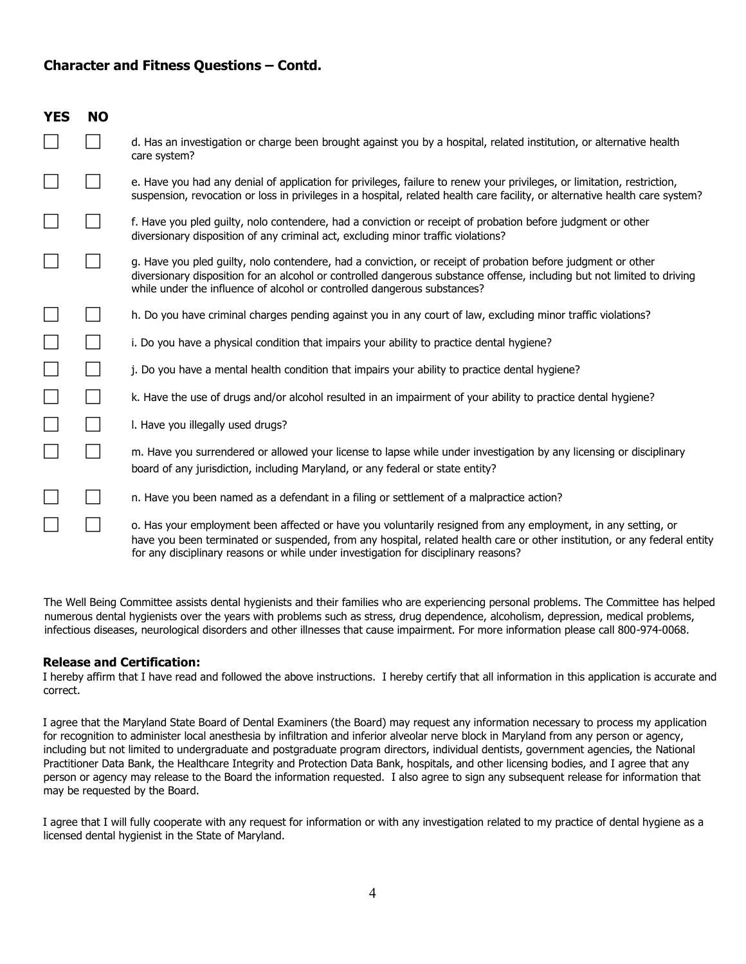## **Character and Fitness Questions – Contd.**

| <b>YES</b> | <b>NO</b> |                                                                                                                                                                                                                                                                                                                                   |
|------------|-----------|-----------------------------------------------------------------------------------------------------------------------------------------------------------------------------------------------------------------------------------------------------------------------------------------------------------------------------------|
|            |           | d. Has an investigation or charge been brought against you by a hospital, related institution, or alternative health<br>care system?                                                                                                                                                                                              |
|            |           | e. Have you had any denial of application for privileges, failure to renew your privileges, or limitation, restriction,<br>suspension, revocation or loss in privileges in a hospital, related health care facility, or alternative health care system?                                                                           |
|            |           | f. Have you pled guilty, nolo contendere, had a conviction or receipt of probation before judgment or other<br>diversionary disposition of any criminal act, excluding minor traffic violations?                                                                                                                                  |
|            |           | g. Have you pled guilty, nolo contendere, had a conviction, or receipt of probation before judgment or other<br>diversionary disposition for an alcohol or controlled dangerous substance offense, including but not limited to driving<br>while under the influence of alcohol or controlled dangerous substances?               |
|            |           | h. Do you have criminal charges pending against you in any court of law, excluding minor traffic violations?                                                                                                                                                                                                                      |
|            |           | i. Do you have a physical condition that impairs your ability to practice dental hygiene?                                                                                                                                                                                                                                         |
|            |           | j. Do you have a mental health condition that impairs your ability to practice dental hygiene?                                                                                                                                                                                                                                    |
|            |           | k. Have the use of drugs and/or alcohol resulted in an impairment of your ability to practice dental hygiene?                                                                                                                                                                                                                     |
|            |           | I. Have you illegally used drugs?                                                                                                                                                                                                                                                                                                 |
|            |           | m. Have you surrendered or allowed your license to lapse while under investigation by any licensing or disciplinary<br>board of any jurisdiction, including Maryland, or any federal or state entity?                                                                                                                             |
|            |           | n. Have you been named as a defendant in a filing or settlement of a malpractice action?                                                                                                                                                                                                                                          |
|            |           | o. Has your employment been affected or have you voluntarily resigned from any employment, in any setting, or<br>have you been terminated or suspended, from any hospital, related health care or other institution, or any federal entity<br>for any disciplinary reasons or while under investigation for disciplinary reasons? |

The Well Being Committee assists dental hygienists and their families who are experiencing personal problems. The Committee has helped numerous dental hygienists over the years with problems such as stress, drug dependence, alcoholism, depression, medical problems, infectious diseases, neurological disorders and other illnesses that cause impairment. For more information please call 800-974-0068.

#### **Release and Certification:**

I hereby affirm that I have read and followed the above instructions. I hereby certify that all information in this application is accurate and correct.

I agree that the Maryland State Board of Dental Examiners (the Board) may request any information necessary to process my application for recognition to administer local anesthesia by infiltration and inferior alveolar nerve block in Maryland from any person or agency, including but not limited to undergraduate and postgraduate program directors, individual dentists, government agencies, the National Practitioner Data Bank, the Healthcare Integrity and Protection Data Bank, hospitals, and other licensing bodies, and I agree that any person or agency may release to the Board the information requested. I also agree to sign any subsequent release for information that may be requested by the Board.

I agree that I will fully cooperate with any request for information or with any investigation related to my practice of dental hygiene as a licensed dental hygienist in the State of Maryland.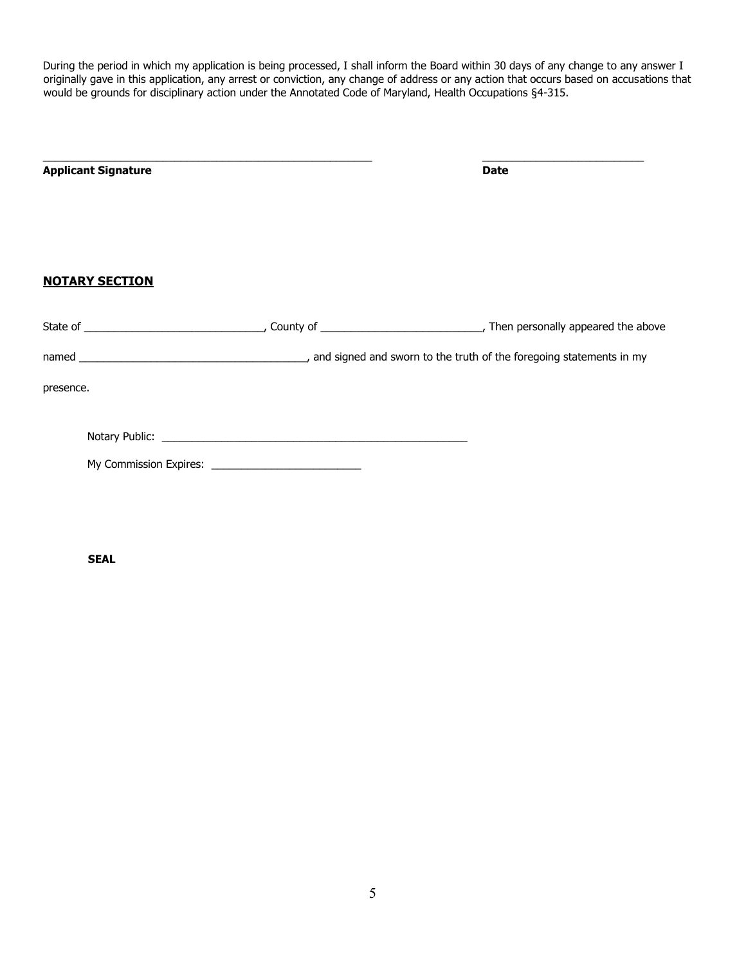During the period in which my application is being processed, I shall inform the Board within 30 days of any change to any answer I originally gave in this application, any arrest or conviction, any change of address or any action that occurs based on accusations that would be grounds for disciplinary action under the Annotated Code of Maryland, Health Occupations §4-315.

| <b>Applicant Signature</b> | <b>Date</b> |
|----------------------------|-------------|
| <b>NOTARY SECTION</b>      |             |
|                            |             |
|                            |             |
| presence.                  |             |
|                            |             |
|                            |             |

 **SEAL**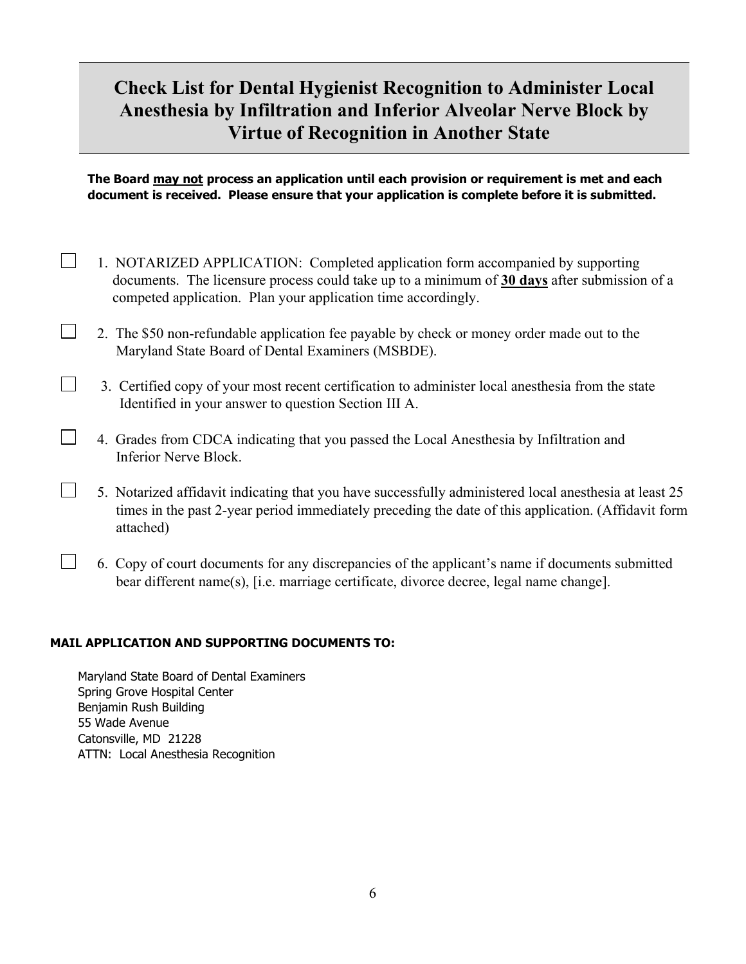## **Check List for Dental Hygienist Recognition to Administer Local Anesthesia by Infiltration and Inferior Alveolar Nerve Block by Virtue of Recognition in Another State**

**The Board may not process an application until each provision or requirement is met and each document is received. Please ensure that your application is complete before it is submitted.** 

- $\Box$  1. NOTARIZED APPLICATION: Completed application form accompanied by supporting documents. The licensure process could take up to a minimum of **30 days** after submission of a competed application. Plan your application time accordingly.
- 2. The \$50 non-refundable application fee payable by check or money order made out to the Maryland State Board of Dental Examiners (MSBDE).
	- 3. Certified copy of your most recent certification to administer local anesthesia from the state Identified in your answer to question Section III A.
- 4. Grades from CDCA indicating that you passed the Local Anesthesia by Infiltration and Inferior Nerve Block.
- $\Box$  5. Notarized affidavit indicating that you have successfully administered local anesthesia at least 25 times in the past 2-year period immediately preceding the date of this application. (Affidavit form attached)
- 6. Copy of court documents for any discrepancies of the applicant's name if documents submitted bear different name(s), [i.e. marriage certificate, divorce decree, legal name change].

## **MAIL APPLICATION AND SUPPORTING DOCUMENTS TO:**

Maryland State Board of Dental Examiners Spring Grove Hospital Center Benjamin Rush Building 55 Wade Avenue Catonsville, MD 21228 ATTN: Local Anesthesia Recognition

 $\Box$